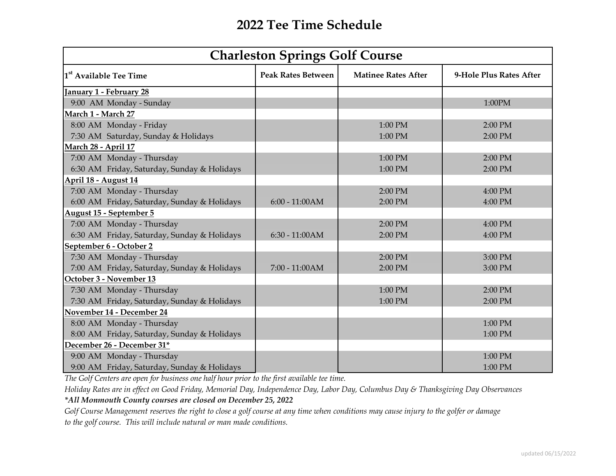| <b>Charleston Springs Golf Course</b>       |                           |                            |                         |
|---------------------------------------------|---------------------------|----------------------------|-------------------------|
| 1 <sup>st</sup> Available Tee Time          | <b>Peak Rates Between</b> | <b>Matinee Rates After</b> | 9-Hole Plus Rates After |
| anuary 1 - February 28                      |                           |                            |                         |
| 9:00 AM Monday - Sunday                     |                           |                            | 1:00PM                  |
| March 1 - March 27                          |                           |                            |                         |
| 8:00 AM Monday - Friday                     |                           | 1:00 PM                    | 2:00 PM                 |
| 7:30 AM Saturday, Sunday & Holidays         |                           | 1:00 PM                    | 2:00 PM                 |
| March 28 - April 17                         |                           |                            |                         |
| 7:00 AM Monday - Thursday                   |                           | 1:00 PM                    | 2:00 PM                 |
| 6:30 AM Friday, Saturday, Sunday & Holidays |                           | 1:00 PM                    | 2:00 PM                 |
| April 18 - August 14                        |                           |                            |                         |
| 7:00 AM Monday - Thursday                   |                           | 2:00 PM                    | 4:00 PM                 |
| 6:00 AM Friday, Saturday, Sunday & Holidays | $6:00 - 11:00AM$          | 2:00 PM                    | 4:00 PM                 |
| <b>August 15 - September 5</b>              |                           |                            |                         |
| 7:00 AM Monday - Thursday                   |                           | 2:00 PM                    | 4:00 PM                 |
| 6:30 AM Friday, Saturday, Sunday & Holidays | $6:30 - 11:00AM$          | 2:00 PM                    | 4:00 PM                 |
| September 6 - October 2                     |                           |                            |                         |
| 7:30 AM Monday - Thursday                   |                           | 2:00 PM                    | 3:00 PM                 |
| 7:00 AM Friday, Saturday, Sunday & Holidays | 7:00 - 11:00AM            | 2:00 PM                    | 3:00 PM                 |
| October 3 - November 13                     |                           |                            |                         |
| 7:30 AM Monday - Thursday                   |                           | 1:00 PM                    | 2:00 PM                 |
| 7:30 AM Friday, Saturday, Sunday & Holidays |                           | 1:00 PM                    | 2:00 PM                 |
| November 14 - December 24                   |                           |                            |                         |
| 8:00 AM Monday - Thursday                   |                           |                            | 1:00 PM                 |
| 8:00 AM Friday, Saturday, Sunday & Holidays |                           |                            | 1:00 PM                 |
| December 26 - December 31*                  |                           |                            |                         |
| 9:00 AM Monday - Thursday                   |                           |                            | 1:00 PM                 |
| 9:00 AM Friday, Saturday, Sunday & Holidays |                           |                            | 1:00 PM                 |

*The Golf Centers are open for business one half hour prior to the first available tee time.*

*Holiday Rates are in effect on Good Friday, Memorial Day, Independence Day, Labor Day, Columbus Day & Thanksgiving Day Observances*

*\*All Monmouth County courses are closed on December 25, 2022*

*Golf Course Management reserves the right to close a golf course at any time when conditions may cause injury to the golfer or damage to the golf course. This will include natural or man made conditions.*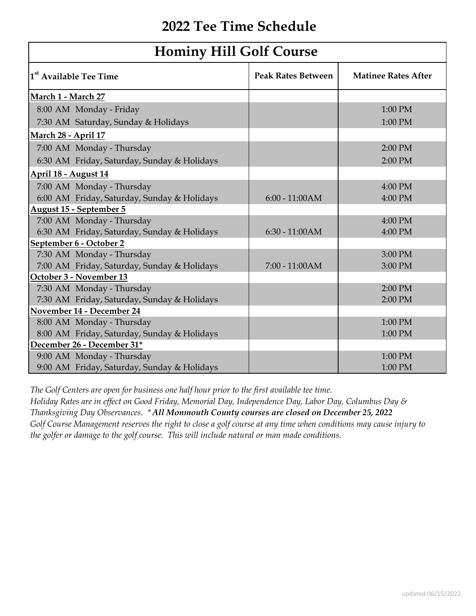| <b>Hominy Hill Golf Course</b>              |                           |                            |  |
|---------------------------------------------|---------------------------|----------------------------|--|
| 1 <sup>st</sup> Available Tee Time          | <b>Peak Rates Between</b> | <b>Matinee Rates After</b> |  |
| March 1 - March 27                          |                           |                            |  |
| 8:00 AM Monday - Friday                     |                           | 1:00 PM                    |  |
| 7:30 AM Saturday, Sunday & Holidays         |                           | 1:00 PM                    |  |
| March 28 - April 17                         |                           |                            |  |
| 7:00 AM Monday - Thursday                   |                           | 2:00 PM                    |  |
| 6:30 AM Friday, Saturday, Sunday & Holidays |                           | 2:00 PM                    |  |
| April 18 - August 14                        |                           |                            |  |
| 7:00 AM Monday - Thursday                   |                           | 4:00 PM                    |  |
| 6:00 AM Friday, Saturday, Sunday & Holidays | $6:00 - 11:00AM$          | 4:00 PM                    |  |
| <b>August 15 - September 5</b>              |                           |                            |  |
| 7:00 AM Monday - Thursday                   |                           | 4:00 PM                    |  |
| 6:30 AM Friday, Saturday, Sunday & Holidays | $6:30 - 11:00AM$          | 4:00 PM                    |  |
| September 6 - October 2                     |                           |                            |  |
| 7:30 AM Monday - Thursday                   |                           | 3:00 PM                    |  |
| 7:00 AM Friday, Saturday, Sunday & Holidays | 7:00 - 11:00AM            | 3:00 PM                    |  |
| October 3 - November 13                     |                           |                            |  |
| 7:30 AM Monday - Thursday                   |                           | 2:00 PM                    |  |
| 7:30 AM Friday, Saturday, Sunday & Holidays |                           | 2:00 PM                    |  |
| November 14 - December 24                   |                           |                            |  |
| 8:00 AM Monday - Thursday                   |                           | 1:00 PM                    |  |
| 8:00 AM Friday, Saturday, Sunday & Holidays |                           | 1:00 PM                    |  |
| December 26 - December 31*                  |                           |                            |  |
| 9:00 AM Monday - Thursday                   |                           | 1:00 PM                    |  |
| 9:00 AM Friday, Saturday, Sunday & Holidays |                           | 1:00 PM                    |  |

*The Golf Centers are open for business one half hour prior to the first available tee time. Holiday Rates are in effect on Good Friday, Memorial Day, Independence Day, Labor Day, Columbus Day & Thanksgiving Day Observances. \* All Monmouth County courses are closed on December 25, 2022*

*Golf Course Management reserves the right to close a golf course at any time when conditions may cause injury to the golfer or damage to the golf course. This will include natural or man made conditions.*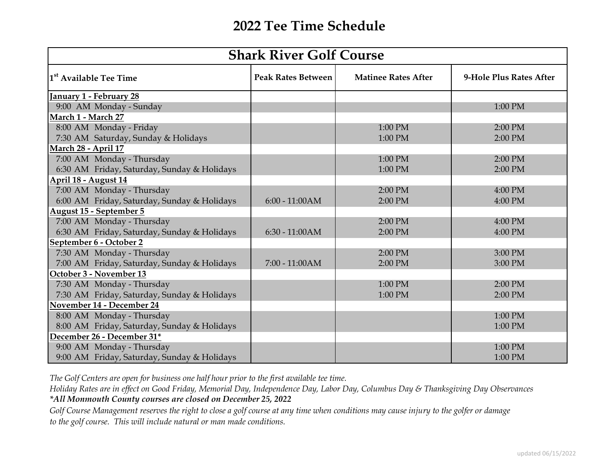| <b>Shark River Golf Course</b>              |                           |                            |                         |
|---------------------------------------------|---------------------------|----------------------------|-------------------------|
| 1 <sup>st</sup> Available Tee Time          | <b>Peak Rates Between</b> | <b>Matinee Rates After</b> | 9-Hole Plus Rates After |
| January 1 - February 28                     |                           |                            |                         |
| 9:00 AM Monday - Sunday                     |                           |                            | 1:00 PM                 |
| March 1 - March 27                          |                           |                            |                         |
| 8:00 AM Monday - Friday                     |                           | 1:00 PM                    | 2:00 PM                 |
| 7:30 AM Saturday, Sunday & Holidays         |                           | 1:00 PM                    | 2:00 PM                 |
| <b>March 28 - April 17</b>                  |                           |                            |                         |
| 7:00 AM Monday - Thursday                   |                           | 1:00 PM                    | 2:00 PM                 |
| 6:30 AM Friday, Saturday, Sunday & Holidays |                           | 1:00 PM                    | 2:00 PM                 |
| April 18 - August 14                        |                           |                            |                         |
| 7:00 AM Monday - Thursday                   |                           | 2:00 PM                    | 4:00 PM                 |
| 6:00 AM Friday, Saturday, Sunday & Holidays | $6:00 - 11:00AM$          | 2:00 PM                    | 4:00 PM                 |
| <b>August 15 - September 5</b>              |                           |                            |                         |
| 7:00 AM Monday - Thursday                   |                           | 2:00 PM                    | 4:00 PM                 |
| 6:30 AM Friday, Saturday, Sunday & Holidays | $6:30 - 11:00AM$          | 2:00 PM                    | 4:00 PM                 |
| September 6 - October 2                     |                           |                            |                         |
| 7:30 AM Monday - Thursday                   |                           | 2:00 PM                    | 3:00 PM                 |
| 7:00 AM Friday, Saturday, Sunday & Holidays | 7:00 - 11:00 AM           | 2:00 PM                    | 3:00 PM                 |
| October 3 - November 13                     |                           |                            |                         |
| 7:30 AM Monday - Thursday                   |                           | 1:00 PM                    | 2:00 PM                 |
| 7:30 AM Friday, Saturday, Sunday & Holidays |                           | 1:00 PM                    | 2:00 PM                 |
| November 14 - December 24                   |                           |                            |                         |
| 8:00 AM Monday - Thursday                   |                           |                            | 1:00 PM                 |
| 8:00 AM Friday, Saturday, Sunday & Holidays |                           |                            | 1:00 PM                 |
| December 26 - December 31*                  |                           |                            |                         |
| 9:00 AM Monday - Thursday                   |                           |                            | 1:00 PM                 |
| 9:00 AM Friday, Saturday, Sunday & Holidays |                           |                            | 1:00 PM                 |

*The Golf Centers are open for business one half hour prior to the first available tee time.*

*Holiday Rates are in effect on Good Friday, Memorial Day, Independence Day, Labor Day, Columbus Day & Thanksgiving Day Observances \*All Monmouth County courses are closed on December 25, 2022*

*Golf Course Management reserves the right to close a golf course at any time when conditions may cause injury to the golfer or damage to the golf course. This will include natural or man made conditions.*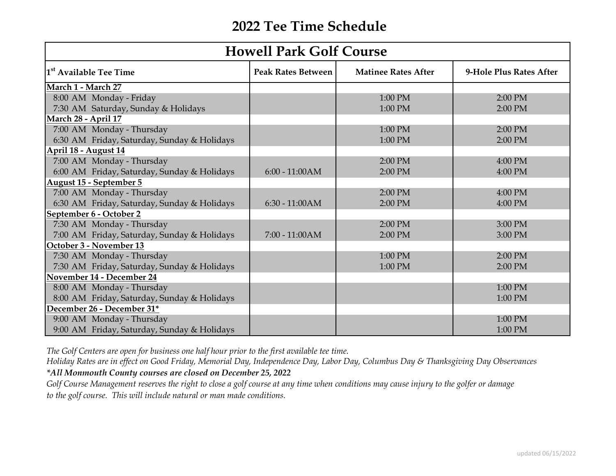| <b>Howell Park Golf Course</b>              |                           |                            |                         |
|---------------------------------------------|---------------------------|----------------------------|-------------------------|
| 1 <sup>st</sup> Available Tee Time          | <b>Peak Rates Between</b> | <b>Matinee Rates After</b> | 9-Hole Plus Rates After |
| March 1 - March 27                          |                           |                            |                         |
| 8:00 AM Monday - Friday                     |                           | 1:00 PM                    | 2:00 PM                 |
| 7:30 AM Saturday, Sunday & Holidays         |                           | 1:00 PM                    | 2:00 PM                 |
| <b>March 28 - April 17</b>                  |                           |                            |                         |
| 7:00 AM Monday - Thursday                   |                           | 1:00 PM                    | 2:00 PM                 |
| 6:30 AM Friday, Saturday, Sunday & Holidays |                           | 1:00 PM                    | 2:00 PM                 |
| April 18 - August 14                        |                           |                            |                         |
| 7:00 AM Monday - Thursday                   |                           | 2:00 PM                    | 4:00 PM                 |
| 6:00 AM Friday, Saturday, Sunday & Holidays | $6:00 - 11:00AM$          | 2:00 PM                    | 4:00 PM                 |
| August 15 - September 5                     |                           |                            |                         |
| 7:00 AM Monday - Thursday                   |                           | 2:00 PM                    | 4:00 PM                 |
| 6:30 AM Friday, Saturday, Sunday & Holidays | $6:30 - 11:00AM$          | 2:00 PM                    | 4:00 PM                 |
| September 6 - October 2                     |                           |                            |                         |
| 7:30 AM Monday - Thursday                   |                           | 2:00 PM                    | 3:00 PM                 |
| 7:00 AM Friday, Saturday, Sunday & Holidays | 7:00 - 11:00 AM           | 2:00 PM                    | 3:00 PM                 |
| October 3 - November 13                     |                           |                            |                         |
| 7:30 AM Monday - Thursday                   |                           | 1:00 PM                    | 2:00 PM                 |
| 7:30 AM Friday, Saturday, Sunday & Holidays |                           | 1:00 PM                    | 2:00 PM                 |
| November 14 - December 24                   |                           |                            |                         |
| 8:00 AM Monday - Thursday                   |                           |                            | 1:00 PM                 |
| 8:00 AM Friday, Saturday, Sunday & Holidays |                           |                            | 1:00 PM                 |
| December 26 - December 31*                  |                           |                            |                         |
| 9:00 AM Monday - Thursday                   |                           |                            | 1:00 PM                 |
| 9:00 AM Friday, Saturday, Sunday & Holidays |                           |                            | 1:00 PM                 |

*The Golf Centers are open for business one half hour prior to the first available tee time.*

*Holiday Rates are in effect on Good Friday, Memorial Day, Independence Day, Labor Day, Columbus Day & Thanksgiving Day Observances \*All Monmouth County courses are closed on December 25, 2022*

*Golf Course Management reserves the right to close a golf course at any time when conditions may cause injury to the golfer or damage to the golf course. This will include natural or man made conditions.*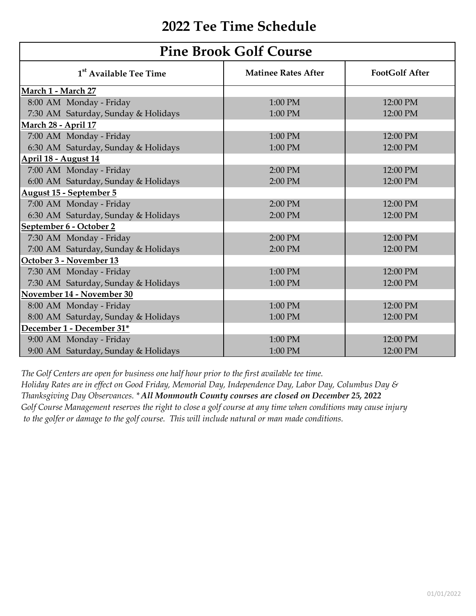| <b>Pine Brook Golf Course</b>       |                            |                       |  |
|-------------------------------------|----------------------------|-----------------------|--|
| 1 <sup>st</sup> Available Tee Time  | <b>Matinee Rates After</b> | <b>FootGolf After</b> |  |
| March 1 - March 27                  |                            |                       |  |
| 8:00 AM Monday - Friday             | 1:00 PM                    | 12:00 PM              |  |
| 7:30 AM Saturday, Sunday & Holidays | 1:00 PM                    | 12:00 PM              |  |
| March 28 - April 17                 |                            |                       |  |
| 7:00 AM Monday - Friday             | 1:00 PM                    | 12:00 PM              |  |
| 6:30 AM Saturday, Sunday & Holidays | 1:00 PM                    | 12:00 PM              |  |
| April 18 - August 14                |                            |                       |  |
| 7:00 AM Monday - Friday             | 2:00 PM                    | 12:00 PM              |  |
| 6:00 AM Saturday, Sunday & Holidays | 2:00 PM                    | 12:00 PM              |  |
| August 15 - September 5             |                            |                       |  |
| 7:00 AM Monday - Friday             | 2:00 PM                    | 12:00 PM              |  |
| 6:30 AM Saturday, Sunday & Holidays | 2:00 PM                    | 12:00 PM              |  |
| September 6 - October 2             |                            |                       |  |
| 7:30 AM Monday - Friday             | 2:00 PM                    | 12:00 PM              |  |
| 7:00 AM Saturday, Sunday & Holidays | 2:00 PM                    | 12:00 PM              |  |
| October 3 - November 13             |                            |                       |  |
| 7:30 AM Monday - Friday             | 1:00 PM                    | 12:00 PM              |  |
| 7:30 AM Saturday, Sunday & Holidays | 1:00 PM                    | 12:00 PM              |  |
| November 14 - November 30           |                            |                       |  |
| 8:00 AM Monday - Friday             | 1:00 PM                    | 12:00 PM              |  |
| 8:00 AM Saturday, Sunday & Holidays | 1:00 PM                    | 12:00 PM              |  |
| December 1 - December 31*           |                            |                       |  |
| 9:00 AM Monday - Friday             | 1:00 PM                    | 12:00 PM              |  |
| 9:00 AM Saturday, Sunday & Holidays | 1:00 PM                    | 12:00 PM              |  |

*The Golf Centers are open for business one half hour prior to the first available tee time. Holiday Rates are in effect on Good Friday, Memorial Day, Independence Day, Labor Day, Columbus Day & Thanksgiving Day Observances. \* All Monmouth County courses are closed on December 25, 2022 Golf Course Management reserves the right to close a golf course at any time when conditions may cause injury to the golfer or damage to the golf course. This will include natural or man made conditions.*